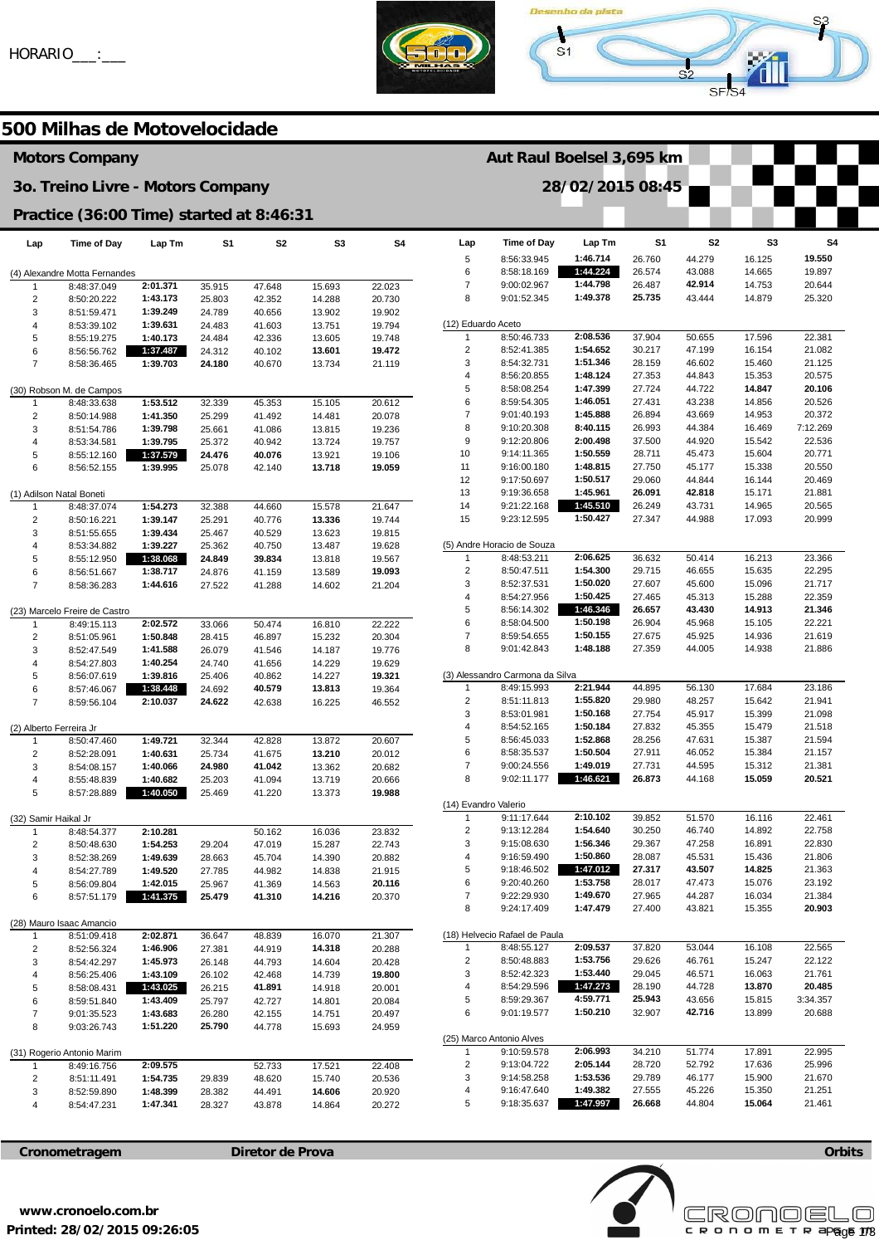



**Aut Raul Boelsel 3,695 km** 

**28/02/2015 08:45** 

# **500 Milhas de Motovelocidade**

# **Motors Company**

#### **3o. Treino Livre - Motors Company**

### **Practice (36:00 Time) started at 8:46:31**

| Lap                           | Time of Day                             | Lap Tm               | S1               | S2               | S3               | S4               |  |  |
|-------------------------------|-----------------------------------------|----------------------|------------------|------------------|------------------|------------------|--|--|
|                               |                                         |                      |                  |                  |                  |                  |  |  |
| (4) Alexandre Motta Fernandes |                                         |                      |                  |                  |                  |                  |  |  |
| 1                             | 8:48:37.049                             | 2:01.371             | 35.915           | 47.648           | 15.693           | 22.023           |  |  |
| 2                             | 8:50:20.222                             | 1:43.173             | 25.803           | 42.352           | 14.288           | 20.730           |  |  |
| 3                             | 8:51:59.471                             | 1:39.249             | 24.789           | 40.656           | 13.902           | 19.902           |  |  |
| 4                             | 8:53:39.102                             | 1:39.631             | 24.483           | 41.603           | 13.751           | 19.794           |  |  |
| 5                             | 8:55:19.275                             | 1:40.173             | 24.484           | 42.336           | 13.605           | 19.748           |  |  |
| 6                             | 8:56:56.762                             | 1:37.487             | 24.312           | 40.102           | 13.601           | 19.472           |  |  |
| 7                             | 8:58:36.465                             | 1:39.703             | 24.180           | 40.670           | 13.734           | 21.119           |  |  |
|                               | (30) Robson M. de Campos                |                      |                  |                  |                  |                  |  |  |
| 1                             | 8:48:33.638                             | 1:53.512             | 32.339           | 45.353           | 15.105           | 20.612           |  |  |
| 2                             | 8:50:14.988                             | 1:41.350             | 25.299           | 41.492           | 14.481           | 20.078           |  |  |
| 3                             | 8:51:54.786                             | 1:39.798             | 25.661           | 41.086           | 13.815           | 19.236           |  |  |
| 4                             | 8:53:34.581                             | 1:39.795             | 25.372           | 40.942           | 13.724           | 19.757           |  |  |
| 5                             | 8:55:12.160                             | 1:37.579             | 24.476           | 40.076           | 13.921           | 19.106           |  |  |
| 6                             | 8:56:52.155                             | 1:39.995             | 25.078           | 42.140           | 13.718           | 19.059           |  |  |
|                               |                                         |                      |                  |                  |                  |                  |  |  |
|                               | (1) Adilson Natal Boneti                |                      |                  |                  |                  |                  |  |  |
| 1<br>2                        | 8:48:37.074<br>8:50:16.221              | 1:54.273<br>1:39.147 | 32.388<br>25.291 | 44.660<br>40.776 | 15.578<br>13.336 | 21.647<br>19.744 |  |  |
| 3                             | 8:51:55.655                             | 1:39.434             | 25.467           | 40.529           | 13.623           | 19.815           |  |  |
| 4                             | 8:53:34.882                             | 1:39.227             | 25.362           | 40.750           | 13.487           | 19.628           |  |  |
| 5                             | 8:55:12.950                             | 1:38.068             | 24.849           | 39.834           | 13.818           | 19.567           |  |  |
| 6                             | 8:56:51.667                             | 1:38.717             | 24.876           | 41.159           | 13.589           | 19.093           |  |  |
| 7                             | 8:58:36.283                             | 1:44.616             | 27.522           | 41.288           | 14.602           | 21.204           |  |  |
|                               |                                         |                      |                  |                  |                  |                  |  |  |
|                               | (23) Marcelo Freire de Castro           |                      |                  |                  |                  |                  |  |  |
| 1                             | 8:49:15.113                             | 2:02.572             | 33.066           | 50.474           | 16.810           | 22.222           |  |  |
| $\overline{\mathbf{c}}$       | 8:51:05.961                             | 1:50.848             | 28.415           | 46.897           | 15.232           | 20.304           |  |  |
| 3                             | 8:52:47.549<br>8:54:27.803              | 1:41.588<br>1:40.254 | 26.079           | 41.546<br>41.656 | 14.187           | 19.776           |  |  |
| 4<br>5                        | 8:56:07.619                             | 1:39.816             | 24.740<br>25.406 | 40.862           | 14.229<br>14.227 | 19.629<br>19.321 |  |  |
| 6                             | 8:57:46.067                             | 1:38.448             | 24.692           | 40.579           | 13.813           | 19.364           |  |  |
| 7                             | 8:59:56.104                             | 2:10.037             | 24.622           | 42.638           | 16.225           | 46.552           |  |  |
|                               |                                         |                      |                  |                  |                  |                  |  |  |
| (2) Alberto Ferreira Jr       |                                         |                      |                  |                  |                  |                  |  |  |
| 1                             | 8:50:47.460                             | 1:49.721             | 32.344           | 42.828           | 13.872           | 20.607           |  |  |
| 2                             | 8:52:28.091                             | 1:40.631             | 25.734           | 41.675           | 13.210           | 20.012           |  |  |
| 3                             | 8:54:08.157                             | 1:40.066             | 24.980           | 41.042           | 13.362           | 20.682           |  |  |
| 4                             | 8:55:48.839                             | 1:40.682             | 25.203           | 41.094           | 13.719           | 20.666           |  |  |
| 5                             | 8:57:28.889                             | 1:40.050             | 25.469           | 41.220           | 13.373           | 19.988           |  |  |
| (32) Samir Haikal Jr          |                                         |                      |                  |                  |                  |                  |  |  |
| 1                             | 8:48:54.377                             | 2:10.281             |                  | 50.162           | 16.036           | 23.832           |  |  |
| 2                             | 8:50:48.630                             | 1:54.253             | 29.204           | 47.019           | 15.287           | 22.743           |  |  |
| 3                             | 8:52:38.269                             | 1:49.639             | 28.663           | 45.704           | 14.390           | 20.882           |  |  |
| 4                             | 8:54:27.789                             | 1:49.520             | 27.785           | 44.982           | 14.838           | 21.915           |  |  |
| 5                             | 8:56:09.804                             | 1:42.015             | 25.967           | 41.369           | 14.563           | 20.116           |  |  |
| 6                             | 8:57:51.179                             | 1:41.375             | 25.479           | 41.310           | 14.216           | 20.370           |  |  |
|                               |                                         |                      |                  |                  |                  |                  |  |  |
| 1                             | (28) Mauro Isaac Amancio<br>8:51:09.418 | 2:02.871             | 36.647           | 48.839           | 16.070           | 21.307           |  |  |
| 2                             | 8:52:56.324                             | 1:46.906             | 27.381           | 44.919           | 14.318           | 20.288           |  |  |
| 3                             | 8:54:42.297                             | 1:45.973             | 26.148           | 44.793           | 14.604           | 20.428           |  |  |
| 4                             | 8:56:25.406                             | 1:43.109             | 26.102           | 42.468           | 14.739           | 19.800           |  |  |
| 5                             | 8:58:08.431                             | 1:43.025             | 26.215           | 41.891           | 14.918           | 20.001           |  |  |
| 6                             | 8:59:51.840                             | 1:43.409             | 25.797           | 42.727           | 14.801           | 20.084           |  |  |
| 7                             | 9:01:35.523                             | 1:43.683             | 26.280           | 42.155           | 14.751           | 20.497           |  |  |
| 8                             | 9:03:26.743                             | 1:51.220             | 25.790           | 44.778           | 15.693           | 24.959           |  |  |
|                               |                                         |                      |                  |                  |                  |                  |  |  |
|                               | (31) Rogerio Antonio Marim              |                      |                  |                  |                  |                  |  |  |
| 1                             | 8:49:16.756                             | 2:09.575             |                  | 52.733           | 17.521           | 22.408           |  |  |
| 2                             | 8:51:11.491                             | 1:54.735<br>1:48.399 | 29.839<br>28.382 | 48.620           | 15.740<br>14.606 | 20.536           |  |  |
| 3<br>4                        | 8:52:59.890<br>8:54:47.231              | 1:47.341             | 28.327           | 44.491<br>43.878 | 14.864           | 20.920<br>20.272 |  |  |
|                               |                                         |                      |                  |                  |                  |                  |  |  |

| Lap                      | <b>Time of Day</b>              | Lap Tm               | S1               | S2               | S3               | S4               |  |  |
|--------------------------|---------------------------------|----------------------|------------------|------------------|------------------|------------------|--|--|
| 5                        | 8:56:33.945                     | 1:46.714             | 26.760           | 44.279           | 16.125           | 19.550           |  |  |
| 6                        | 8:58:18.169                     | 1:44.224             | 26.574           | 43.088           | 14.665           | 19.897           |  |  |
| 7                        | 9:00:02.967                     | 1:44.798             | 26.487           | 42.914           | 14.753           | 20.644           |  |  |
| 8                        | 9:01:52.345                     | 1:49.378             | 25.735           | 43.444           | 14.879           | 25.320           |  |  |
|                          |                                 |                      |                  |                  |                  |                  |  |  |
| (12) Eduardo Aceto<br>1  | 8:50:46.733                     |                      |                  |                  |                  |                  |  |  |
| 2                        | 8:52:41.385                     | 2:08.536<br>1:54.652 | 37.904<br>30.217 | 50.655<br>47.199 | 17.596<br>16.154 | 22.381<br>21.082 |  |  |
| 3                        | 8:54:32.731                     | 1:51.346             | 28.159           | 46.602           | 15.460           | 21.125           |  |  |
| 4                        | 8:56:20.855                     | 1:48.124             | 27.353           | 44.843           | 15.353           | 20.575           |  |  |
| 5                        | 8:58:08.254                     | 1:47.399             | 27.724           | 44.722           | 14.847           | 20.106           |  |  |
| 6                        | 8:59:54.305                     | 1:46.051             | 27.431           | 43.238           | 14.856           | 20.526           |  |  |
| 7                        | 9:01:40.193                     | 1:45.888             | 26.894           | 43.669           | 14.953           | 20.372           |  |  |
| 8                        | 9:10:20.308                     | 8:40.115             | 26.993           | 44.384           | 16.469           | 7:12.269         |  |  |
| 9                        | 9:12:20.806                     | 2:00.498             | 37.500           | 44.920           | 15.542           | 22.536           |  |  |
| 10                       | 9:14:11.365                     | 1:50.559             | 28.711           | 45.473           | 15.604           | 20.771           |  |  |
| 11                       | 9:16:00.180                     | 1:48.815             | 27.750           | 45.177           | 15.338           | 20.550           |  |  |
| 12                       | 9:17:50.697                     | 1:50.517             | 29.060           | 44.844           | 16.144           | 20.469           |  |  |
| 13                       | 9:19:36.658                     | 1:45.961             | 26.091           | 42.818           | 15.171           | 21.881           |  |  |
| 14<br>15                 | 9:21:22.168<br>9:23:12.595      | 1:45.510<br>1:50.427 | 26.249<br>27.347 | 43.731<br>44.988 | 14.965<br>17.093 | 20.565<br>20.999 |  |  |
|                          |                                 |                      |                  |                  |                  |                  |  |  |
|                          | (5) Andre Horacio de Souza      |                      |                  |                  |                  |                  |  |  |
| 1                        | 8:48:53.211                     | 2:06.625             | 36.632           | 50.414           | 16.213           | 23.366           |  |  |
| 2                        | 8:50:47.511                     | 1:54.300             | 29.715           | 46.655           | 15.635           | 22.295           |  |  |
| 3                        | 8:52:37.531                     | 1:50.020             | 27.607           | 45.600           | 15.096           | 21.717           |  |  |
| 4<br>5                   | 8:54:27.956<br>8:56:14.302      | 1:50.425             | 27.465<br>26.657 | 45.313<br>43.430 | 15.288<br>14.913 | 22.359<br>21.346 |  |  |
| 6                        | 8:58:04.500                     | 1:46.346<br>1:50.198 | 26.904           | 45.968           | 15.105           | 22.221           |  |  |
| 7                        | 8:59:54.655                     | 1:50.155             | 27.675           | 45.925           | 14.936           | 21.619           |  |  |
| 8                        | 9:01:42.843                     | 1:48.188             | 27.359           | 44.005           | 14.938           | 21.886           |  |  |
|                          |                                 |                      |                  |                  |                  |                  |  |  |
|                          | (3) Alessandro Carmona da Silva |                      |                  |                  |                  |                  |  |  |
| 1                        | 8:49:15.993                     | 2:21.944             | 44.895           | 56.130           | 17.684           | 23.186           |  |  |
| 2                        | 8:51:11.813                     | 1:55.820             | 29.980           | 48.257           | 15.642           | 21.941           |  |  |
| 3                        | 8:53:01.981                     | 1:50.168             | 27.754           | 45.917           | 15.399           | 21.098           |  |  |
| 4                        | 8:54:52.165                     | 1:50.184             | 27.832           | 45.355           | 15.479           | 21.518           |  |  |
| 5<br>6                   | 8:56:45.033<br>8:58:35.537      | 1:52.868<br>1:50.504 | 28.256<br>27.911 | 47.631<br>46.052 | 15.387<br>15.384 | 21.594<br>21.157 |  |  |
| 7                        | 9:00:24.556                     | 1:49.019             | 27.731           | 44.595           | 15.312           | 21.381           |  |  |
| 8                        | 9:02:11.177                     | 1:46.621             | 26.873           | 44.168           | 15.059           | 20.521           |  |  |
|                          |                                 |                      |                  |                  |                  |                  |  |  |
| (14) Evandro Valerio     |                                 |                      |                  |                  |                  |                  |  |  |
| 1                        | 9:11:17.644                     | 2:10.102             | 39.852           | 51.570           | 16.116           | 22.461           |  |  |
| 2                        | 9:13:12.284                     | 1:54.640             | 30.250           | 46.740           | 14.892           | 22.758           |  |  |
| 3<br>4                   | 9:15:08.630<br>9:16:59.490      | 1:56.346<br>1:50.860 | 29.367           | 47.258<br>45.531 | 16.891           | 22.830           |  |  |
| 5                        | 9:18:46.502                     | 1:47.012             | 28.087<br>27.317 | 43.507           | 15.436<br>14.825 | 21.806<br>21.363 |  |  |
| 6                        | 9:20:40.260                     | 1:53.758             | 28.017           | 47.473           | 15.076           | 23.192           |  |  |
| 7                        | 9:22:29.930                     | 1:49.670             | 27.965           | 44.287           | 16.034           | 21.384           |  |  |
| 8                        | 9:24:17.409                     | 1:47.479             | 27.400           | 43.821           | 15.355           | 20.903           |  |  |
|                          |                                 |                      |                  |                  |                  |                  |  |  |
|                          | (18) Helvecio Rafael de Paula   |                      |                  |                  |                  |                  |  |  |
| 1                        | 8:48:55.127                     | 2:09.537             | 37.820           | 53.044           | 16.108           | 22.565           |  |  |
| 2                        | 8:50:48.883                     | 1:53.756             | 29.626           | 46.761           | 15.247           | 22.122           |  |  |
| 3                        | 8:52:42.323                     | 1:53.440             | 29.045           | 46.571           | 16.063           | 21.761<br>20.485 |  |  |
| 4<br>5                   | 8:54:29.596<br>8:59:29.367      | 1:47.273<br>4:59.771 | 28.190<br>25.943 | 44.728<br>43.656 | 13.870           | 3:34.357         |  |  |
| 6                        | 9:01:19.577                     | 1:50.210             | 32.907           | 42.716           | 15.815<br>13.899 | 20.688           |  |  |
|                          |                                 |                      |                  |                  |                  |                  |  |  |
| (25) Marco Antonio Alves |                                 |                      |                  |                  |                  |                  |  |  |
| 1                        | 9:10:59.578                     | 2:06.993             | 34.210           | 51.774           | 17.891           | 22.995           |  |  |
| 2                        | 9:13:04.722                     | 2:05.144             | 28.720           | 52.792           | 17.636           | 25.996           |  |  |
| 3                        | 9:14:58.258                     | 1:53.536             | 29.789           | 46.177           | 15.900           | 21.670           |  |  |
| 4<br>5                   | 9:16:47.640<br>9:18:35.637      | 1:49.382<br>1:47.997 | 27.555<br>26.668 | 45.226<br>44.804 | 15.350<br>15.064 | 21.251<br>21.461 |  |  |
|                          |                                 |                      |                  |                  |                  |                  |  |  |





**Orbits** 

**Printed: 28/02/2015 09:26:05 www.cronoelo.com.br**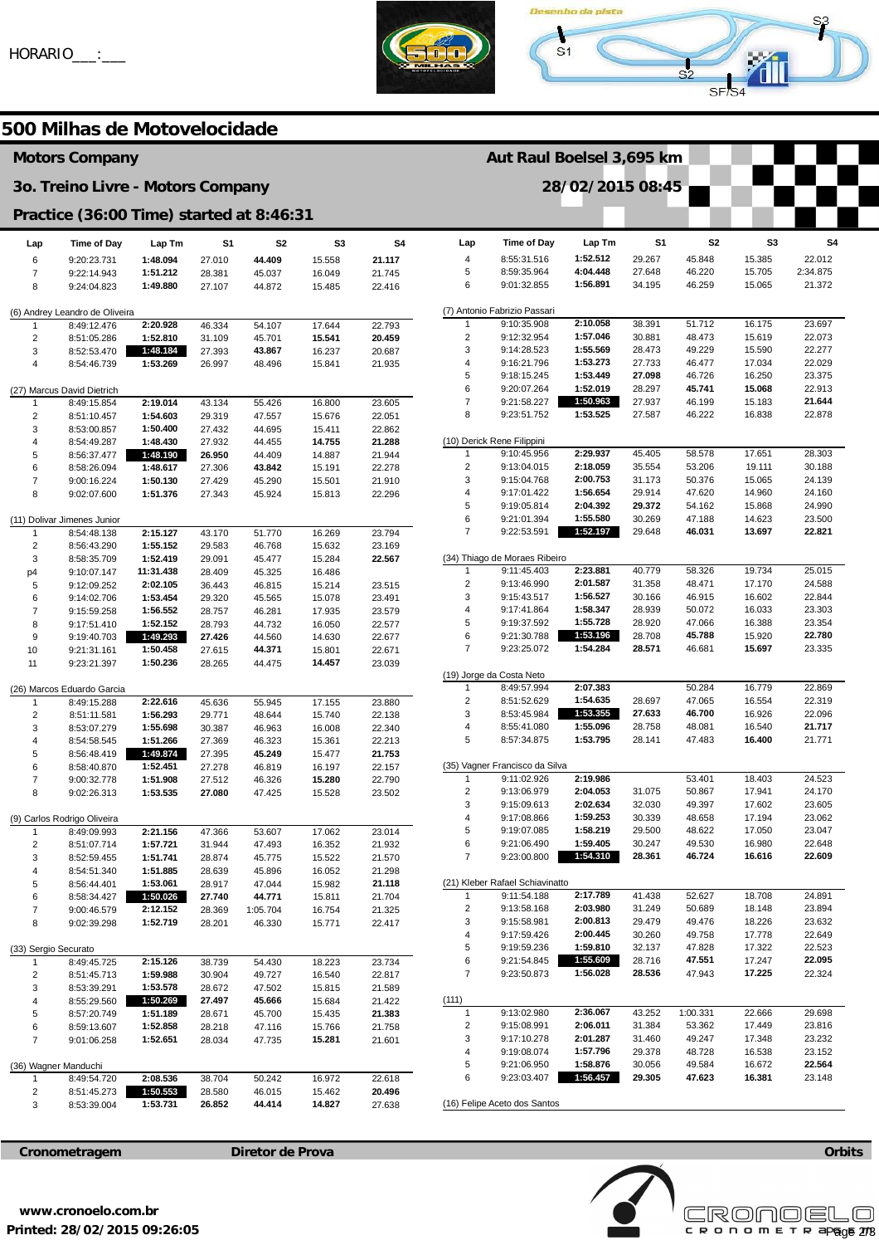



**Aut Raul Boelsel 3,695 km** 

## **500 Milhas de Motovelocidade**

## **Motors Company**

#### **3o. Treino Livre - Motors Company**

### **Practice (36:00 Time) started at 8:46:31**

| Lap                            | <b>Time of Day</b>          | Lap Tm               | S1               | S2               | S3               | S <sub>4</sub>   |  |  |  |
|--------------------------------|-----------------------------|----------------------|------------------|------------------|------------------|------------------|--|--|--|
| 6                              | 9:20:23.731                 | 1:48.094             | 27.010           | 44.409           | 15.558           | 21.117           |  |  |  |
| $\overline{7}$                 | 9:22:14.943                 | 1:51.212             | 28.381           | 45.037           | 16.049           | 21.745           |  |  |  |
| 8                              | 9:24:04.823                 | 1:49.880             | 27.107           | 44.872           | 15.485           | 22.416           |  |  |  |
| (6) Andrey Leandro de Oliveira |                             |                      |                  |                  |                  |                  |  |  |  |
| 1                              | 8:49:12.476                 | 2:20.928             | 46.334           | 54.107           | 17.644           | 22.793           |  |  |  |
| $\overline{2}$                 | 8:51:05.286                 | 1:52.810             | 31.109           | 45.701           | 15.541           | 20.459           |  |  |  |
| 3                              | 8:52:53.470                 | 1:48.184             | 27.393           | 43.867           | 16.237           | 20.687           |  |  |  |
| 4                              | 8:54:46.739                 | 1:53.269             | 26.997           | 48.496           | 15.841           | 21.935           |  |  |  |
| (27) Marcus David Dietrich     |                             |                      |                  |                  |                  |                  |  |  |  |
| 1                              | 8:49:15.854                 | 2:19.014             | 43.134           | 55.426           | 16.800           | 23.605           |  |  |  |
| 2                              | 8:51:10.457                 | 1:54.603             | 29.319           | 47.557           | 15.676           | 22.051           |  |  |  |
| 3                              | 8:53:00.857                 | 1:50.400             | 27.432           | 44.695           | 15.411           | 22.862           |  |  |  |
| 4                              | 8:54:49.287                 | 1:48.430             | 27.932           | 44.455           | 14.755           | 21.288           |  |  |  |
| 5                              | 8:56:37.477                 | 1:48.190             | 26.950           | 44.409           | 14.887           | 21.944           |  |  |  |
| 6                              | 8:58:26.094                 | 1:48.617             | 27.306           | 43.842           | 15.191           | 22.278           |  |  |  |
| $\overline{7}$                 | 9:00:16.224                 | 1:50.130             | 27.429           | 45.290           | 15.501           | 21.910           |  |  |  |
| 8                              | 9:02:07.600                 | 1:51.376             | 27.343           | 45.924           | 15.813           | 22.296           |  |  |  |
|                                | (11) Dolivar Jimenes Junior |                      |                  |                  |                  |                  |  |  |  |
| 1                              | 8:54:48.138                 | 2:15.127             | 43.170           | 51.770           | 16.269           | 23.794           |  |  |  |
| $\overline{2}$                 | 8:56:43.290                 | 1:55.152             | 29.583           | 46.768           | 15.632           | 23.169           |  |  |  |
| 3                              | 8:58:35.709                 | 1:52.419             | 29.091           | 45.477           | 15.284           | 22.567           |  |  |  |
| p4                             | 9:10:07.147                 | 11:31.438            | 28.409           | 45.325           | 16.486           |                  |  |  |  |
| 5                              | 9:12:09.252                 | 2:02.105             | 36.443           | 46.815           | 15.214           | 23.515           |  |  |  |
| 6                              | 9:14:02.706                 | 1:53.454             | 29.320           | 45.565           | 15.078           | 23.491           |  |  |  |
| 7                              | 9:15:59.258                 | 1:56.552             | 28.757           | 46.281           | 17.935           | 23.579           |  |  |  |
| 8                              | 9:17:51.410                 | 1:52.152             | 28.793           | 44.732           | 16.050           | 22.577           |  |  |  |
| 9                              | 9:19:40.703                 | 1:49.293             | 27.426           | 44.560           | 14.630           | 22.677           |  |  |  |
| 10                             | 9:21:31.161                 | 1:50.458             | 27.615           | 44.371           | 15.801           | 22.671           |  |  |  |
| 11                             | 9:23:21.397                 | 1:50.236             | 28.265           | 44.475           | 14.457           | 23.039           |  |  |  |
|                                | (26) Marcos Eduardo Garcia  |                      |                  |                  |                  |                  |  |  |  |
| 1                              | 8:49:15.288                 | 2:22.616             | 45.636           | 55.945           | 17.155           | 23.880           |  |  |  |
| 2                              | 8:51:11.581                 | 1:56.293             | 29.771           | 48.644           | 15.740           | 22.138           |  |  |  |
| 3                              | 8:53:07.279                 | 1:55.698             | 30.387           | 46.963           | 16.008           | 22.340           |  |  |  |
| 4                              | 8:54:58.545                 | 1:51.266             | 27.369           | 46.323           | 15.361           | 22.213           |  |  |  |
| 5                              | 8:56:48.419                 | 1:49.874             | 27.395           | 45.249           | 15.477           | 21.753           |  |  |  |
| 6                              | 8:58:40.870                 | 1:52.451             | 27.278           | 46.819           | 16.197           | 22.157           |  |  |  |
| $\overline{7}$                 | 9:00:32.778                 | 1:51.908             | 27.512           | 46.326           | 15.280           | 22.790           |  |  |  |
| 8                              | 9:02:26.313                 | 1:53.535             | 27.080           | 47.425           | 15.528           | 23.502           |  |  |  |
|                                | (9) Carlos Rodrigo Oliveira |                      |                  |                  |                  |                  |  |  |  |
| 1                              | 8:49:09.993                 | 2:21.156             | 47.366           | 53.607           | 17.062           | 23.014           |  |  |  |
| $\overline{2}$                 | 8:51:07.714                 | 1:57.721             | 31.944           | 47.493           | 16.352           | 21.932           |  |  |  |
| 3<br>4                         | 8:52:59.455                 | 1:51.741<br>1:51.885 | 28.874           | 45.775           | 15.522           | 21.570           |  |  |  |
| 5                              | 8:54:51.340<br>8:56:44.401  | 1:53.061             | 28.639<br>28.917 | 45.896<br>47.044 | 16.052<br>15.982 | 21.298<br>21.118 |  |  |  |
| 6                              | 8:58:34.427                 | 1:50.026             | 27.740           | 44.771           | 15.811           | 21.704           |  |  |  |
| 7                              | 9:00:46.579                 | 2:12.152             | 28.369           | 1:05.704         | 16.754           | 21.325           |  |  |  |
| 8                              | 9:02:39.298                 | 1:52.719             | 28.201           | 46.330           | 15.771           | 22.417           |  |  |  |
| (33) Sergio Securato           |                             |                      |                  |                  |                  |                  |  |  |  |
| 1                              | 8:49:45.725                 | 2:15.126             | 38.739           | 54.430           | 18.223           | 23.734           |  |  |  |
| 2                              | 8:51:45.713                 | 1:59.988             | 30.904           | 49.727           | 16.540           | 22.817           |  |  |  |
| 3                              | 8:53:39.291                 | 1:53.578             | 28.672           | 47.502           | 15.815           | 21.589           |  |  |  |
| 4                              | 8:55:29.560                 | 1:50.269             | 27.497           | 45.666           | 15.684           | 21.422           |  |  |  |
| 5                              | 8:57:20.749                 | 1:51.189             | 28.671           | 45.700           | 15.435           | 21.383           |  |  |  |
| 6                              | 8:59:13.607                 | 1:52.858             | 28.218           | 47.116           | 15.766           | 21.758           |  |  |  |
| 7                              | 9:01:06.258                 | 1:52.651             | 28.034           | 47.735           | 15.281           | 21.601           |  |  |  |
| (36) Wagner Manduchi           |                             |                      |                  |                  |                  |                  |  |  |  |
| 1                              | 8:49:54.720                 | 2:08.536             | 38.704           | 50.242           | 16.972           | 22.618           |  |  |  |
| 2                              | 8:51:45.273                 | 1:50.553             | 28.580           | 46.015           | 15.462           | 20.496           |  |  |  |
| 3                              | 8:53:39.004                 | 1:53.731             | 26.852           | 44.414           | 14.827           | 27.638           |  |  |  |

| 28/02/2015 08:45             |                                             |                      |                  |                  |                  |                    |  |  |  |
|------------------------------|---------------------------------------------|----------------------|------------------|------------------|------------------|--------------------|--|--|--|
|                              |                                             |                      |                  |                  |                  |                    |  |  |  |
|                              |                                             |                      |                  |                  |                  |                    |  |  |  |
| Lap                          | <b>Time of Day</b>                          | Lap Tm               | S1               | S2               | S3               | S4                 |  |  |  |
| 4                            | 8:55:31.516<br>8:59:35.964                  | 1:52.512<br>4:04.448 | 29.267           | 45.848           | 15.385           | 22.012<br>2:34.875 |  |  |  |
| 5<br>6                       | 9:01:32.855                                 | 1:56.891             | 27.648<br>34.195 | 46.220<br>46.259 | 15.705<br>15.065 | 21.372             |  |  |  |
|                              |                                             |                      |                  |                  |                  |                    |  |  |  |
| 1                            | (7) Antonio Fabrizio Passari<br>9:10:35.908 | 2:10.058             | 38.391           | 51.712           | 16.175           | 23.697             |  |  |  |
| 2                            | 9:12:32.954                                 | 1:57.046             | 30.881           | 48.473           | 15.619           | 22.073             |  |  |  |
| 3                            | 9:14:28.523                                 | 1:55.569             | 28.473           | 49.229           | 15.590           | 22.277             |  |  |  |
| 4                            | 9:16:21.796                                 | 1:53.273             | 27.733           | 46.477           | 17.034           | 22.029             |  |  |  |
| 5                            | 9:18:15.245                                 | 1:53.449             | 27.098           | 46.726           | 16.250           | 23.375             |  |  |  |
| 6                            | 9:20:07.264                                 | 1:52.019             | 28.297           | 45.741           | 15.068           | 22.913             |  |  |  |
| 7<br>8                       | 9:21:58.227<br>9:23:51.752                  | 1:50.963<br>1:53.525 | 27.937<br>27.587 | 46.199<br>46.222 | 15.183<br>16.838 | 21.644<br>22.878   |  |  |  |
|                              |                                             |                      |                  |                  |                  |                    |  |  |  |
|                              | (10) Derick Rene Filippini                  |                      |                  |                  |                  |                    |  |  |  |
| 1<br>2                       | 9:10:45.956<br>9:13:04.015                  | 2:29.937<br>2:18.059 | 45.405<br>35.554 | 58.578<br>53.206 | 17.651<br>19.111 | 28.303<br>30.188   |  |  |  |
| 3                            | 9:15:04.768                                 | 2:00.753             | 31.173           | 50.376           | 15.065           | 24.139             |  |  |  |
| 4                            | 9:17:01.422                                 | 1:56.654             | 29.914           | 47.620           | 14.960           | 24.160             |  |  |  |
| 5                            | 9:19:05.814                                 | 2:04.392             | 29.372           | 54.162           | 15.868           | 24.990             |  |  |  |
| 6                            | 9:21:01.394                                 | 1:55.580             | 30.269           | 47.188           | 14.623           | 23.500             |  |  |  |
| 7                            | 9:22:53.591                                 | 1:52.197             | 29.648           | 46.031           | 13.697           | 22.821             |  |  |  |
|                              | (34) Thiago de Moraes Ribeiro               |                      |                  |                  |                  |                    |  |  |  |
| 1                            | 9:11:45.403                                 | 2:23.881             | 40.779           | 58.326           | 19.734           | 25.015             |  |  |  |
| 2                            | 9:13:46.990                                 | 2:01.587             | 31.358           | 48.471           | 17.170           | 24.588             |  |  |  |
| 3                            | 9:15:43.517                                 | 1:56.527             | 30.166           | 46.915           | 16.602           | 22.844             |  |  |  |
| 4                            | 9:17:41.864                                 | 1:58.347<br>1:55.728 | 28.939           | 50.072           | 16.033           | 23.303             |  |  |  |
| 5<br>6                       | 9:19:37.592<br>9:21:30.788                  | 1:53.196             | 28.920<br>28.708 | 47.066<br>45.788 | 16.388<br>15.920 | 23.354<br>22.780   |  |  |  |
| 7                            | 9:23:25.072                                 | 1:54.284             | 28.571           | 46.681           | 15.697           | 23.335             |  |  |  |
|                              |                                             |                      |                  |                  |                  |                    |  |  |  |
| 1                            | (19) Jorge da Costa Neto<br>8:49:57.994     | 2:07.383             |                  | 50.284           | 16.779           | 22.869             |  |  |  |
| 2                            | 8:51:52.629                                 | 1:54.635             | 28.697           | 47.065           | 16.554           | 22.319             |  |  |  |
| 3                            | 8:53:45.984                                 | 1:53.355             | 27.633           | 46.700           | 16.926           | 22.096             |  |  |  |
| 4                            | 8:55:41.080                                 | 1:55.096             | 28.758           | 48.081           | 16.540           | 21.717             |  |  |  |
| 5                            | 8:57:34.875                                 | 1:53.795             | 28.141           | 47.483           | 16.400           | 21.771             |  |  |  |
|                              | (35) Vagner Francisco da Silva              |                      |                  |                  |                  |                    |  |  |  |
| 1                            | 9:11:02.926                                 | 2:19.986             |                  | 53.401           | 18.403           | 24.523             |  |  |  |
| 2                            | 9:13:06.979                                 | 2:04.053             | 31.075           | 50.867           | 17.941           | 24.170             |  |  |  |
| 3<br>4                       | 9:15:09.613<br>9:17:08.866                  | 2:02.634<br>1:59.253 | 32.030           | 49.397<br>48.658 | 17.602           | 23.605             |  |  |  |
| 5                            | 9:19:07.085                                 | 1:58.219             | 30.339<br>29.500 | 48.622           | 17.194<br>17.050 | 23.062<br>23.047   |  |  |  |
| 6                            | 9:21:06.490                                 | 1:59.405             | 30.247           | 49.530           | 16.980           | 22.648             |  |  |  |
| 7                            | 9:23:00.800                                 | 1:54.310             | 28.361           | 46.724           | 16.616           | 22.609             |  |  |  |
|                              | (21) Kleber Rafael Schiavinatto             |                      |                  |                  |                  |                    |  |  |  |
| 1                            | 9:11:54.188                                 | 2:17.789             | 41.438           | 52.627           | 18.708           | 24.891             |  |  |  |
| 2                            | 9:13:58.168                                 | 2:03.980             | 31.249           | 50.689           | 18.148           | 23.894             |  |  |  |
| 3                            | 9:15:58.981                                 | 2:00.813             | 29.479           | 49.476           | 18.226           | 23.632             |  |  |  |
| 4                            | 9:17:59.426                                 | 2:00.445             | 30.260           | 49.758           | 17.778           | 22.649             |  |  |  |
| 5                            | 9:19:59.236                                 | 1:59.810             | 32.137           | 47.828           | 17.322           | 22.523             |  |  |  |
| 6                            | 9:21:54.845                                 | 1:55.609<br>1:56.028 | 28.716           | 47.551           | 17.247           | 22.095             |  |  |  |
| 7                            | 9:23:50.873                                 |                      | 28.536           | 47.943           | 17.225           | 22.324             |  |  |  |
| (111)                        |                                             |                      |                  |                  |                  |                    |  |  |  |
| 1                            | 9:13:02.980                                 | 2:36.067             | 43.252           | 1:00.331         | 22.666           | 29.698             |  |  |  |
| 2<br>3                       | 9:15:08.991<br>9:17:10.278                  | 2:06.011<br>2:01.287 | 31.384<br>31.460 | 53.362<br>49.247 | 17.449<br>17.348 | 23.816<br>23.232   |  |  |  |
| 4                            | 9:19:08.074                                 | 1:57.796             | 29.378           | 48.728           | 16.538           | 23.152             |  |  |  |
| 5                            | 9:21:06.950                                 | 1:58.876             | 30.056           | 49.584           | 16.672           | 22.564             |  |  |  |
| 6                            | 9:23:03.407                                 | 1:56.457             | 29.305           | 47.623           | 16.381           | 23.148             |  |  |  |
| (16) Felipe Aceto dos Santos |                                             |                      |                  |                  |                  |                    |  |  |  |





**Orbits** 

**Printed: 28/02/2015 09:26:05 www.cronoelo.com.br**